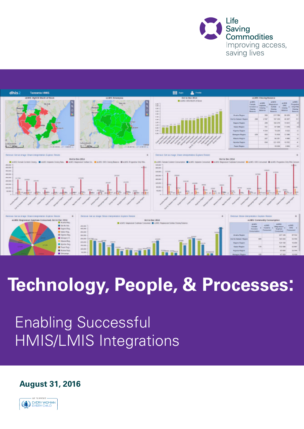



# **Technology, People, & Processes:**

## Enabling Successful HMIS/LMIS Integrations

**August 31, 2016**

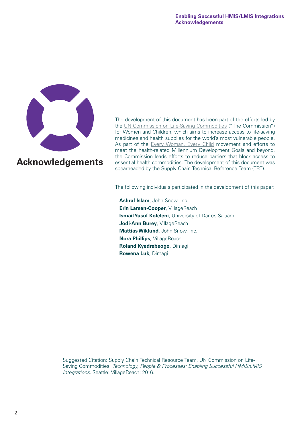<span id="page-1-0"></span>

**Acknowledgements**

The development of this document has been part of the efforts led by the [UN Commission on Life-Saving Commodities](http://www.everywomaneverychild.org/resources/un-commission-on-life-saving-commodities) ("The Commission") for Women and Children, which aims to increase access to life-saving medicines and health supplies for the world's most vulnerable people. As part of the [Every Woman, Every Child](http://www.everywomaneverychild.org/) movement and efforts to meet the health-related Millennium Development Goals and beyond, the Commission leads efforts to reduce barriers that block access to essential health commodities. The development of this document was spearheaded by the Supply Chain Technical Reference Team (TRT).

The following individuals participated in the development of this paper:

**Ashraf Islam**, John Snow, Inc. **Erin Larsen-Cooper, VillageReach Ismail Yusuf Koleleni**, University of Dar es Salaam **Jodi-Ann Burey, VillageReach Mattias Wiklund**, John Snow, Inc. **Nora Phillips**, VillageReach **Roland Kyedrebeogo**, Dimagi **Rowena Luk**, Dimagi

Suggested Citation: Supply Chain Technical Resource Team, UN Commission on Life-Saving Commodities. Technology, People & Processes: Enabling Successful HMIS/LMIS Integrations. Seattle: VillageReach; 2016.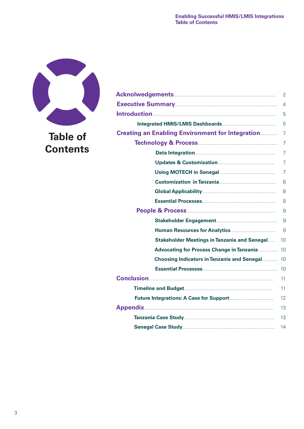

## **Table of Contents**

|                                                         | 2              |
|---------------------------------------------------------|----------------|
|                                                         | $\overline{4}$ |
|                                                         | 5              |
|                                                         | 5              |
| <b>Creating an Enabling Environment for Integration</b> | 7              |
|                                                         | $\overline{7}$ |
|                                                         | $\overline{7}$ |
|                                                         | $\overline{7}$ |
|                                                         | $\overline{7}$ |
|                                                         | 8              |
|                                                         | 8              |
|                                                         | 8              |
|                                                         | 9              |
|                                                         | 9              |
|                                                         | 9              |
| <b>Stakeholder Meetings in Tanzania and Senegal</b>     | 10             |
| <b>Advocating for Process Change in Tanzania</b>        | 10             |
| Choosing Indicators in Tanzania and Senegal 10          |                |
|                                                         |                |
|                                                         | 11             |
|                                                         | 11             |
|                                                         | 12             |
|                                                         | 13             |
|                                                         | 13             |
|                                                         | 14             |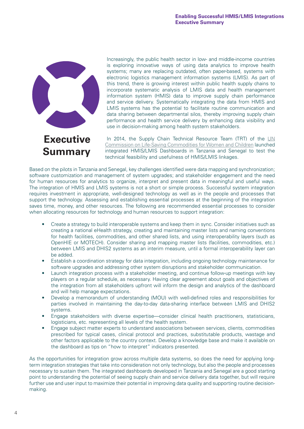<span id="page-3-0"></span>

**Summary**

Increasingly, the public health sector in low- and middle-income countries is exploring innovative ways of using data analytics to improve health systems; many are replacing outdated, often paper-based, systems with electronic logistics management information systems (LMIS). As part of this trend, there is growing interest within public health supply chains to incorporate systematic analysis of LMIS data and health management information system (HMIS) data to improve supply chain performance and service delivery. Systematically integrating the data from HMIS and LMIS systems has the potential to facilitate routine communication and data sharing between departmental silos, thereby improving supply chain performance and health service delivery by enhancing data visibility and use in decision-making among health system stakeholders.

In 2014, the Supply Chain Technical Resource Team (TRT) of the UN [Commission on Life-Saving Commodities for Women and Children](http://www.everywomaneverychild.org/resources/un-commission-on-life-saving-commodities) launched integrated HMIS/LMIS Dashboards in Tanzania and Senegal to test the technical feasibility and usefulness of HMIS/LMIS linkages.

Based on the pilots in Tanzania and Senegal, key challenges identified were data mapping and synchronization; software customization and management of system upgrades; and stakeholder engagement and the need for human resources for analytics to organize, interpret and present data in meaningful and useful ways. The integration of HMIS and LMIS systems is not a short or simple process. Successful system integration requires investment in appropriate, well-designed technology as well as in the people and processes that support the technology. Assessing and establishing essential processes at the beginning of the integration saves time, money, and other resources. The following are recommended essential processes to consider when allocating resources for technology and human resources to support integration:

- Create a strategy to build interoperable systems and keep them in sync. Consider initiatives such as creating a national eHealth strategy, creating and maintaining master lists and naming conventions for health facilities, commodities, and other shared lists, and using interoperability layers (such as OpenHIE or MOTECH). Consider sharing and mapping master lists (facilities, commodities, etc.) between LMIS and DHIS2 systems as an interim measure, until a formal interoperability layer can be added.
- Establish a coordination strategy for data integration, including ongoing technology maintenance for software upgrades and addressing other system disruptions and stakeholder communication.
- Launch integration process with a stakeholder meeting, and continue follow-up meetings with key players on a regular schedule, as necessary. Having clear agreement about goals and objectives of the integration from all stakeholders upfront will inform the design and analytics of the dashboard and will help manage expectations.
- Develop a memorandum of understanding (MOU) with well-defined roles and responsibilities for parties involved in maintaining the day-to-day data-sharing interface between LMIS and DHIS2 systems.
- Engage stakeholders with diverse expertise—consider clinical health practitioners, statisticians, logisticians, etc. representing all levels of the health system.
- Engage subject matter experts to understand associations between services, clients, commodities prescribed for typical cases, clinical protocol and practices, substitutable products, wastage and other factors applicable to the country context. Develop a knowledge base and make it available on the dashboard as tips on "how to interpret" indicators presented.

As the opportunities for integration grow across multiple data systems, so does the need for applying longterm integration strategies that take into consideration not only technology, but also the people and processes necessary to sustain them. The integrated dashboards developed in Tanzania and Senegal are a good starting point to understanding the potential of seeing supply chain and service delivery data together, but will require further use and user input to maximize their potential in improving data quality and supporting routine decisionmaking.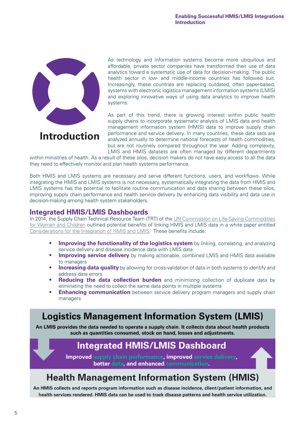<span id="page-4-0"></span>

**Introduction**

As technology and information systems become more ubiquitous and affordable, private sector companies have transformed their use of data analytics toward a systematic use of data for decision-making. The public health sector in low- and middle-income countries has followed suit. Increasingly, these countries are replacing outdated, often paper-based, systems with electronic logistics management information systems (LMIS) and exploring innovative ways of using data analytics to improve health systems.

As part of this trend, there is growing interest within public health supply chains to incorporate systematic analysis of LMIS data and health management information system (HMIS) data to improve supply chain performance and service delivery. In many countries, these data sets are analyzed annually to determine national forecasts of health commodities, but are not routinely compared throughout the year. Adding complexity, LMIS and HMIS datasets are often managed by different departments

within ministries of health. As a result of these silos, decision makers do not have easy access to all the data they need to effectively monitor and plan health systems performance.

Both HMIS and LMIS systems are necessary and serve different functions, users, and workflows. While integrating the HMIS and LMIS systems is not necessary, systematically integrating the data from HMIS and LMIS systems has the potential to facilitate routine communication and data sharing between these silos, improving supply chain performance and health service delivery by enhancing data visibility and data use in decision-making among health system stakeholders.

#### **Integrated HMIS/LMIS Dashboards**

In 2014, the Supply Chain Technical Resource Team (TRT) of the [UN Commission on Life-Saving Commodities](http://www.everywomaneverychild.org/resources/un-commission-on-life-saving-commodities) [for Women and Children](http://www.everywomaneverychild.org/resources/un-commission-on-life-saving-commodities) outlined potential benefits of linking HMIS and LMIS data in a white paper entitled [Considerations for the Integration of HMIS and LMIS](http://www.lifesavingcommodities.org/wp-content/uploads/2014/08/Copy-of-14-126-Considerations-for-the-Integration-of-HMIS-and-LMIS_format.pdf). These benefits include:

- **Improving the functionality of the logistics system** by linking, correlating, and analyzing service delivery and disease incidence data with LMIS data
- **Improving service delivery** by making actionable, combined LMIS and HMIS data available to managers
- **Increasing data quality** by allowing for cross-validation of data in both systems to identify and address data errors
- **Reducing the data collection burden** and minimizing collection of duplicate data by eliminating the need to collect the same data points in multiple systems
- **Enhancing communication** between service delivery program managers and supply chain managers

## **Logistics Management Information System (LMIS)**

An LMIS provides the data needed to operate a supply chain. It collects data about health products such as quantities consumed, stock on hand, losses and adjustments.

## **Integrated HMIS/LMIS Dashboard**

Improved supply chain performance, improved service delivery,

better data, and enhanced communication.

## **Health Management Information System (HMIS)**

An HMIS collects and reports program information such as disease incidence, client/patient information, and health services rendered. HMIS data can be used to track disease patterns and health service utilization.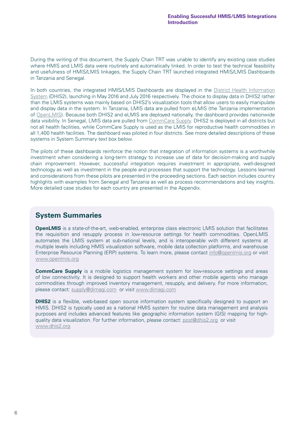During the writing of this document, the Supply Chain TRT was unable to identify any existing case studies where HMIS and LMIS data were routinely and automatically linked. In order to test the technical feasibility and usefulness of HMIS/LMIS linkages, the Supply Chain TRT launched integrated HMIS/LMIS Dashboards in Tanzania and Senegal.

In both countries, the integrated HMIS/LMIS Dashboards are displayed in the District Health Information [System](https://www.dhis2.org/) (DHIS2), launching in May 2016 and July 2016 respectively. The choice to display data in DHIS2 rather than the LMIS systems was mainly based on DHIS2's visualization tools that allow users to easily manipulate and display data in the system. In Tanzania, LMIS data are pulled from eLMIS (the Tanzania implementation of [OpenLMIS\)](http://openlmis.org/). Because both DHIS2 and eLMIS are deployed nationally, the dashboard provides nationwide data visibility. In Senegal, LMIS data are pulled from [CommCare Supply](http://www.dimagi.com/sectors/logistics/). DHIS2 is deployed in all districts but not all health facilities, while CommCare Supply is used as the LMIS for reproductive health commodities in all 1,400 health facilities. The dashboard was piloted in four districts. See more detailed descriptions of these systems in System Summary text box below.

The pilots of these dashboards reinforce the notion that integration of information systems is a worthwhile investment when considering a long-term strategy to increase use of data for decision-making and supply chain improvement. However, successful integration requires investment in appropriate, well-designed technology as well as investment in the people and processes that support the technology. Lessons learned and considerations from these pilots are presented in the proceeding sections. Each section includes country highlights with examples from Senegal and Tanzania as well as process recommendations and key insights. More detailed case studies for each country are presented in the Appendix.

#### **System Summaries**

**OpenLMIS** is a state-of-the-art, web-enabled, enterprise class electronic LMIS solution that facilitates the requisition and resupply process in low-resource settings for health commodities. OpenLMIS automates the LMIS system at sub-national levels, and is interoperable with different systems at multiple levels including HMIS visualization software, mobile data collection platforms, and warehouse Enterprise Resource Planning (ERP) systems. To learn more, please contact [info@openlmis.org](mailto:info%40openlmis.org?subject=) or visit [www.openlmis.org](http://www.openlmis.org)

**CommCare Supply** is a mobile logistics management system for low-resource settings and areas of low connectivity. It is designed to support health workers and other mobile agents who manage commodities through improved inventory management, resupply, and delivery. For more information, please contact: [supply@dimagi.com](mailto:supply%40dimagi.com?subject=) or visit [www.dimagi.com](http://www.dimagi.com)

**DHIS2** is a flexible, web-based open source information system specifically designed to support an HMIS. DHIS2 is typically used as a national HMIS system for routine data management and analysis purposes and includes advanced features like geographic information system (GIS) mapping for highquality data visualization. For further information, please contact: [post@dhis2.org](mailto:post%40dhis2.org?subject=) or visit [www.dhis2.org](http://www.dhis2.org)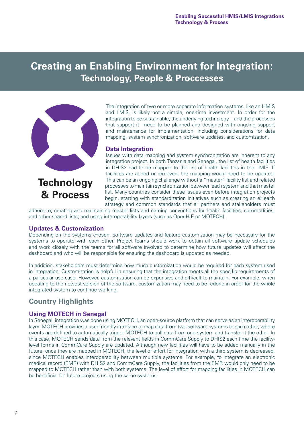## <span id="page-6-0"></span>**Creating an Enabling Environment for Integration: Technology, People & Proccesses**



The integration of two or more separate information systems, like an HMIS and LMIS, is likely not a simple, one-time investment. In order for the integration to be sustainable, the underlying technology—and the processes that support it—need to be planned and designed with ongoing support and maintenance for implementation, including considerations for data mapping, system synchronization, software updates, and customization.

#### **Data Integration**

Issues with data mapping and system synchronization are inherent to any integration project. In both Tanzania and Senegal, the list of health facilities in DHIS2 had to be mapped to the list of health facilities in the LMIS. If facilities are added or removed, the mapping would need to be updated. This can be an ongoing challenge without a "master" facility list and related processes to maintain synchronization between each system and that master list. Many countries consider these issues even before integration projects begin, starting with standardization initiatives such as creating an eHealth strategy and common standards that all partners and stakeholders must

adhere to; creating and maintaining master lists and naming conventions for health facilities, commodities, and other shared lists; and using interoperability layers (such as OpenHIE or MOTECH).

#### **Updates & Customization**

Depending on the systems chosen, software updates and feature customization may be necessary for the systems to operate with each other. Project teams should work to obtain all software update schedules and work closely with the teams for all software involved to determine how future updates will affect the dashboard and who will be responsible for ensuring the dashboard is updated as needed.

In addition, stakeholders must determine how much customization would be required for each system used in integration. Customization is helpful in ensuring that the integration meets all the specific requirements of a particular use case. However, customization can be expensive and difficult to maintain. For example, when updating to the newest version of the software, customization may need to be redone in order for the whole integrated system to continue working.

#### **Country Highlights**

#### **Using MOTECH in Senegal**

In Senegal, integration was done using MOTECH, an open-source platform that can serve as an interoperability layer. MOTECH provides a user-friendly interface to map data from two software systems to each other, where events are defined to automatically trigger MOTECH to pull data from one system and transfer it the other. In this case, MOTECH sends data from the relevant fields in CommCare Supply to DHIS2 each time the facilitylevel forms in CommCare Supply are updated. Although new facilities will have to be added manually in the future, once they are mapped in MOTECH, the level of effort for integration with a third system is decreased, since MOTECH enables interoperability between multiple systems. For example, to integrate an electronic medical record (EMR) with DHIS2 and CommCare Supply, the facilities from the EMR would only need to be mapped to MOTECH rather than with both systems. The level of effort for mapping facilities in MOTECH can be beneficial for future projects using the same systems.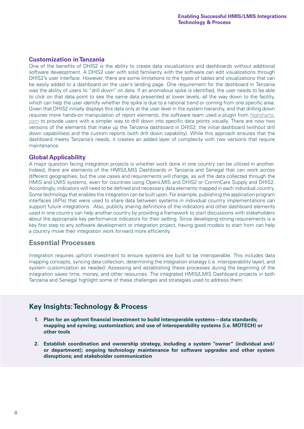#### <span id="page-7-0"></span>**Customization in Tanzania**

One of the benefits of DHIS2 is the ability to create data visualizations and dashboards without additional software development. A DHIS2 user with solid familiarity with the software can edit visualizations through DHIS2's user interface. However, there are some limitations to the types of tables and visualizations that can be easily added to a dashboard on the user's landing page. One requirement for the dashboard in Tanzania was the ability of users to "drill down" on data. If an anomalous spike is identified, the user needs to be able to click on that data point to see the same data presented at lower levels, all the way down to the facility, which can help the user identify whether the spike is due to a national trend or coming from one specific area. Given that DHIS2 initially displays this data only at the user level in the system hierarchy, and that drilling down requires more hands-on manipulation of report elements, the software team used a plugin from [highcharts.](http://highcharts.com) [com](http://highcharts.com) to provide users with a simpler way to drill down into specific data points visually. There are now two versions of the elements that make up the Tanzania dashboard in DHIS2: the initial dashboard (without drill down capabilities) and the custom reports (with drill down capability). While this approach ensures that the dashboard meets Tanzania's needs, it creates an added layer of complexity with two versions that require maintenance.

#### **Global Applicability**

A major question facing integration projects is whether work done in one country can be utilized in another. Indeed, there are elements of the HMIS/LMIS Dashboards in Tanzania and Senegal that can work across different geographies, but the use cases and requirements will change, as will the data collected through the HMIS and LMIS systems, even for countries using OpenLMIS and DHIS2 or CommCare Supply and DHIS2. Accordingly, indicators will need to be defined and necessary data elements mapped in each individual country. Some technology that enables the integration can be built upon. For example, publishing the application program interfaces (APIs) that were used to share data between systems in individual country implementations can support future integrations. Also, publicly sharing definitions of the indicators and other dashboard elements used in one country can help another country by providing a framework to start discussions with stakeholders about the appropriate key performance indicators for their setting. Since developing strong requirements is a key first step to any software development or integration project, having good models to start from can help a country move their integration work forward more efficiently.

#### **Essential Processes**

Integration requires upfront investment to ensure systems are built to be interoperable. This includes data mapping concepts, syncing data collection, determining the integration strategy (i.e. interoperability layer), and system customization as needed. Assessing and establishing these processes during the beginning of the integration saves time, money, and other resources. The integrated HMIS/LMIS Dashboard projects in both Tanzania and Senegal highlight some of these challenges and strategies used to address them.

#### **Key Insights: Technology & Process**

- **1. Plan for an upfront financial investment to build interoperable systems—data standards; mapping and syncing; customization; and use of interoperability systems (i.e. MOTECH) or other tools**
- **2. Establish coordination and ownership strategy, including a system "owner" (individual and/ or department); ongoing technology maintenance for software upgrades and other system disruptions; and stakeholder communication**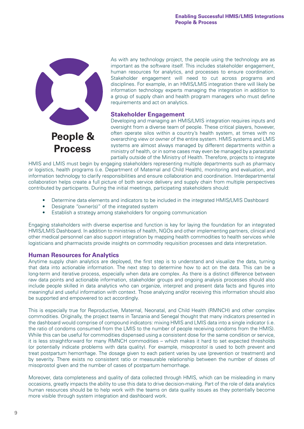<span id="page-8-0"></span>

As with any technology project, the people using the technology are as important as the software itself. This includes stakeholder engagement, human resources for analytics, and processes to ensure coordination. Stakeholder engagement will need to cut across programs and disciplines. For example, in an HMIS/LMIS integration there will likely be information technology experts managing the integration in addition to a group of supply chain and health program managers who must define requirements and act on analytics.

#### **Stakeholder Engagement**

**People & Process**

Developing and managing an HMIS/LMIS integration requires inputs and oversight from a diverse team of people. These critical players, however, often operate silos within a country's health system, at times with no overarching view or owner of the entire system. HMIS systems and LMIS systems are almost always managed by different departments within a ministry of health, or in some cases may even be managed by a parastatal partially outside of the Ministry of Health. Therefore, projects to integrate

HMIS and LMIS must begin by engaging stakeholders representing multiple departments such as pharmacy or logistics, health programs (i.e. Department of Maternal and Child Health), monitoring and evaluation, and information technology to clarify responsibilities and ensure collaboration and coordination. Interdepartmental collaboration helps create a full picture of both service delivery and supply chain from multiple perspectives contributed by participants. During the initial meetings, participating stakeholders should:

- Determine data elements and indicators to be included in the integrated HMIS/LMIS Dashboard
- Designate "owner(s)" of the integrated system
- Establish a strategy among stakeholders for ongoing communication

Engaging stakeholders with diverse expertise and function is key for laying the foundation for an integrated HMIS/LMIS Dashboard. In addition to ministries of health, NGOs and other implementing partners, clinical and other medical personnel can also support integration by mapping health commodities to health services while logisticians and pharmacists provide insights on commodity requisition processes and data interpretation.

#### **Human Resources for Analytics**

Anytime supply chain analytics are deployed, the first step is to understand and visualize the data, turning that data into actionable information. The next step to determine how to act on the data. This can be a long-term and iterative process, especially when data are complex. As there is a distinct difference between raw data points and actionable information, stakeholder groups and ongoing analysis processes should also include people skilled in data analytics who can organize, interpret and present data facts and figures into meaningful and useful information with context. Those analyzing and/or receiving this information should also be supported and empowered to act accordingly.

This is especially true for Reproductive, Maternal, Neonatal, and Child Health (RMNCH) and other complex commodities. Originally, the project teams in Tanzania and Senegal thought that many indicators presented in the dashboard would comprise of compound indicators: mixing HMIS and LMIS data into a single indicator (i.e. the ratio of condoms consumed from the LMIS to the number of people receiving condoms from the HMIS). While this can be useful for commodities dispensed using a consistent dose for the same condition or service, it is less straightforward for many RMNCH commodities – which makes it hard to set expected thresholds (or potentially indicate problems with data quality). For example, misoprostol is used to both prevent and treat postpartum hemorrhage. The dosage given to each patient varies by use (prevention or treatment) and by severity. There exists no consistent ratio or measurable relationship between the number of doses of misoprostol given and the number of cases of postpartum hemorrhage.

Moreover, data completeness and quality of data collected through HMIS, which can be misleading in many occasions, greatly impacts the ability to use this data to drive decision-making. Part of the role of data analytics human resources should be to help work with the teams on data quality issues as they potentially become more visible through system integration and dashboard work.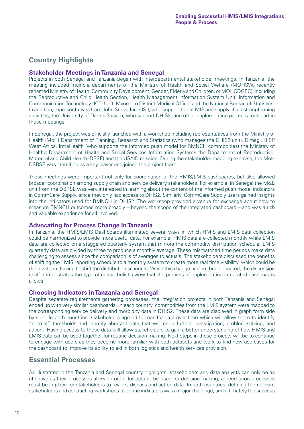#### <span id="page-9-0"></span>**Country Highlights**

#### **Stakeholder Meetings in Tanzania and Senegal**

Projects in both Senegal and Tanzania began with interdepartmental stakeholder meetings. In Tanzania, the meeting included multiple departments of the Ministry of Health and Social Welfare (MOHSW, recently renamed Ministry of Health, Community Development, Gender, Elderly and Children, or MOHCDGEC), including the Reproductive and Child Health Section, Health Management Information System Unit, Information and Communication Technology (ICT) Unit, Mvomero District Medical Office, and the National Bureau of Statistics. In addition, representatives from John Snow, Inc. (JSI), who support the eLMIS and supply chain strengthening activities, the University of Dar es Salaam, who support DHIS2, and other implementing partners took part in these meetings.

In Senegal, the project was officially launched with a workshop including representatives from the Ministry of Health (MoH) Department of Planning, Research and Statistics (who manages the DHIS2 unit), Dimagi, HISP West Africa, IntraHealth (who supports the informed push model for RMNCH commodities) the Ministry of Health's Department of Health and Social Services Information Systems the Department of Reproductive, Maternal and Child Health (DRSE) and the USAID mission. During the stakeholder mapping exercise, the MoH DSRSE was identified as a key player and joined the project team.

These meetings were important not only for coordination of the HMIS/LMIS dashboards, but also allowed broader coordination among supply chain and service delivery stakeholders. For example, in Senegal the M&E unit from the DSRSE was very interested in learning about the content of the informed push model indicators in CommCare Supply, since they only had access to DHIS2. Similarly, CommCare Supply users gained insights into the indicators used for RMNCH in DHIS2. The workshop provided a venue for exchange about how to measure RMNCH outcomes more broadly – beyond the scope of the integrated dashboard – and was a rich and valuable experience for all involved.

#### **Advocating for Process Change in Tanzania**

In Tanzania, the HMIS/LMIS Dashboards illuminated several ways in which HMIS and LMIS data collection could be harmonized to provide more useful data. For example, HMIS data are collected monthly while LMIS data are collected on a staggered quarterly system that mirrors the commodity distribution schedule. LMIS quarterly data are divided by three to produce a monthly average. These mismatched time periods make data challenging to assess since the comparison is of averages to actuals. The stakeholders discussed the benefits of shifting the LMIS reporting schedule to a monthly system to create more real time visibility, which could be done without having to shift the distribution schedule. While this change has not been enacted, the discussion itself demonstrates the type of critical holistic view that the process of implementing integrated dashboards allows.

#### **Choosing Indicators in Tanzania and Senegal**

Despite separate requirements gathering processes, the integration projects in both Tanzania and Senegal ended up with very similar dashboards. In each country, commodities from the LMIS system were mapped to the corresponding service delivery and morbidity data in DHIS2. These data are displayed in graph form side by side. In both countries, stakeholders agreed to monitor data over time which will allow them to identify "normal" thresholds and identify aberrant data that will need further investigation, problem-solving, and action. Having access to these data will allow stakeholders to gain a better understanding of how HMIS and LMIS data can be used together for routine decision-making. Next steps in these projects will be to continue to engage with users as they become more familiar with both datasets and work to find new use cases for the dashboard to improve its ability to aid in both logistics and health services provision.

#### **Essential Processes**

As illustrated in the Tanzania and Senegal country highlights, stakeholders and data analysts can only be as effective as their processes allow. In order for data to be used for decision making, agreed upon processes must be in place for stakeholders to review, discuss and act on data. In both countries, defining the relevant stakeholders and conducting workshops to define indicators was a major challenge, and ultimately the success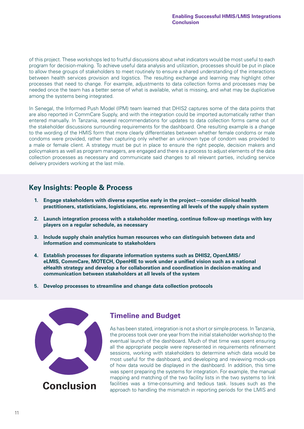<span id="page-10-0"></span>of this project. These workshops led to fruitful discussions about what indicators would be most useful to each program for decision-making. To achieve useful data analysis and utilization, processes should be put in place to allow these groups of stakeholders to meet routinely to ensure a shared understanding of the interactions between health services provision and logistics. The resulting exchange and learning may highlight other processes that need to change. For example, adjustments to data collection forms and processes may be needed once the team has a better sense of what is available, what is missing, and what may be duplicative among the systems being integrated.

In Senegal, the Informed Push Model (IPM) team learned that DHIS2 captures some of the data points that are also reported in CommCare Supply, and with the integration could be imported automatically rather than entered manually. In Tanzania, several recommendations for updates to data collection forms came out of the stakeholder discussions surrounding requirements for the dashboard. One resulting example is a change to the wording of the HMIS form that more clearly differentiates between whether female condoms or male condoms were provided, rather than capturing only whether an unknown type of condom was provided to a male or female client. A strategy must be put in place to ensure the right people, decision makers and policymakers as well as program managers, are engaged and there is a process to adjust elements of the data collection processes as necessary and communicate said changes to all relevant parties, including service delivery providers working at the last mile.

#### **Key Insights: People & Process**

- **1. Engage stakeholders with diverse expertise early in the project—consider clinical health practitioners, statisticians, logisticians, etc. representing all levels of the supply chain system**
- **2. Launch integration process with a stakeholder meeting, continue follow-up meetings with key players on a regular schedule, as necessary**
- **3. Include supply chain analytics human resources who can distinguish between data and information and communicate to stakeholders**
- **4. Establish processes for disparate information systems such as DHIS2, OpenLMIS/ eLMIS, CommCare, MOTECH, OpenHIE to work under a unified vision such as a national eHealth strategy and develop a for collaboration and coordination in decision-making and communication between stakeholders at all levels of the system**
- **5. Develop processes to streamline and change data collection protocols**



#### **Timeline and Budget**

As has been stated, integration is not a short or simple process. In Tanzania, the process took over one year from the initial stakeholder workshop to the eventual launch of the dashboard. Much of that time was spent ensuring all the appropriate people were represented in requirements refinement sessions, working with stakeholders to determine which data would be most useful for the dashboard, and developing and reviewing mock-ups of how data would be displayed in the dashboard. In addition, this time was spent preparing the systems for integration. For example, the manual mapping and matching of the two facility lists in the two systems to link facilities was a time-consuming and tedious task. Issues such as the approach to handling the mismatch in reporting periods for the LMIS and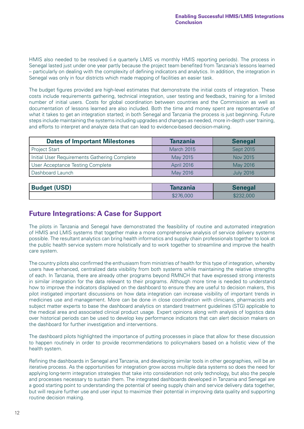<span id="page-11-0"></span>HMIS also needed to be resolved (i.e quarterly LMIS vs monthly HMIS reporting periods). The process in Senegal lasted just under one year partly because the project team benefited from Tanzania's lessons learned – particularly on dealing with the complexity of defining indicators and analytics. In addition, the integration in Senegal was only in four districts which made mapping of facilities an easier task.

The budget figures provided are high-level estimates that demonstrate the initial costs of integration. These costs include requirements gathering, technical integration, user testing and feedback, training for a limited number of initial users. Costs for global coordination between countries and the Commission as well as documentation of lessons learned are also included. Both the time and money spent are representative of what it takes to get an integration started; in both Senegal and Tanzania the process is just beginning. Future steps include maintaining the systems including upgrades and changes as needed, more in-depth user training, and efforts to interpret and analyze data that can lead to evidence-based decision-making.

| <b>Dates of Important Milestones</b>         | <b>Tanzania</b>   | <b>Senegal</b>   |
|----------------------------------------------|-------------------|------------------|
| Project Start                                | <b>March 2015</b> | Sept 2015        |
| Initial User Requirements Gathering Complete | May 2015          | Nov 2015         |
| User Acceptance Testing Complete             | <b>April 2016</b> | May 2016         |
| Dashboard Launch                             | May 2016          | <b>July 2016</b> |

| <b>Budget (USD)</b> | lanzania  | <b>Senegal</b> |
|---------------------|-----------|----------------|
|                     | \$276,000 | 000            |

#### **Future Integrations: A Case for Support**

The pilots in Tanzania and Senegal have demonstrated the feasibility of routine and automated integration of HMIS and LMIS systems that together make a more comprehensive analysis of service delivery systems possible. The resultant analytics can bring health informatics and supply chain professionals together to look at the public health service system more holistically and to work together to streamline and improve the health care system.

The country pilots also confirmed the enthusiasm from ministries of health for this type of integration, whereby users have enhanced, centralized data visibility from both systems while maintaining the relative strengths of each. In Tanzania, there are already other programs beyond RMNCH that have expressed strong interests in similar integration for the data relevant to their programs. Although more time is needed to understand how to improve the indicators displayed on the dashboard to ensure they are useful to decision makers, this pilot instigated important discussions on how data integration can increase visibility of important trends in medicines use and management. More can be done in close coordination with clinicians, pharmacists and subject matter experts to base the dashboard analytics on standard treatment guidelines (STG) applicable to the medical area and associated clinical product usage. Expert opinions along with analysis of logistics data over historical periods can be used to develop key performance indicators that can alert decision makers on the dashboard for further investigation and interventions.

The dashboard pilots highlighted the importance of putting processes in place that allow for these discussion to happen routinely in order to provide recommendations to policymakers based on a holistic view of the health system.

Refining the dashboards in Senegal and Tanzania, and developing similar tools in other geographies, will be an iterative process. As the opportunities for integration grow across multiple data systems so does the need for applying long-term integration strategies that take into consideration not only technology, but also the people and processes necessary to sustain them. The integrated dashboards developed in Tanzania and Senegal are a good starting point to understanding the potential of seeing supply chain and service delivery data together, but will require further use and user input to maximize their potential in improving data quality and supporting routine decision making.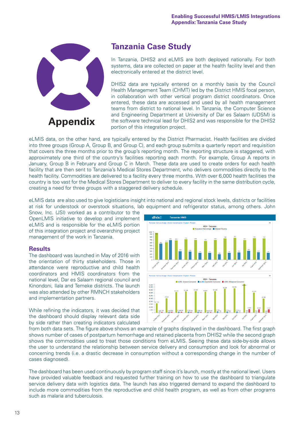<span id="page-12-0"></span>

### **Tanzania Case Study**

In Tanzania, DHIS2 and eLMIS are both deployed nationally. For both systems, data are collected on paper at the health facility level and then electronically entered at the district level.

DHIS2 data are typically entered on a monthly basis by the Council Health Management Team (CHMT) led by the District HMIS focal person, in collaboration with other vertical program district coordinators. Once entered, these data are accessed and used by all health management teams from district to national level. In Tanzania, the Computer Science and Engineering Department at University of Dar es Salaam (UDSM) is the software technical lead for DHIS2 and was responsible for the DHIS2 portion of this integration project.

eLMIS data, on the other hand, are typically entered by the District Pharmacist. Health facilities are divided into three groups (Group A, Group B, and Group C), and each group submits a quarterly report and requisition that covers the three months prior to the group's reporting month. The reporting structure is staggered, with approximately one third of the country's facilities reporting each month. For example, Group A reports in January, Group B in February and Group C in March. These data are used to create orders for each health facility that are then sent to Tanzania's Medical Stores Department, who delivers commodities directly to the health facility. Commodities are delivered to a facility every three months. With over 6,000 health facilities the country is too vast for the Medical Stores Department to deliver to every facility in the same distribution cycle, creating a need for three groups with a staggered delivery schedule.

eLMIS data are also used to give logisticians insight into national and regional stock levels, districts or facilities at risk for understock or overstock situations, lab equipment and refrigerator status, among others. John

Snow, Inc. (JSI) worked as a contributor to the OpenLMIS initiative to develop and implement eLMIS and is responsible for the eLMIS portion of this integration project and overarching project management of the work in Tanzania.

#### **Results**

The dashboard was launched in May of 2016 with the orientation of thirty stakeholders. Those in attendance were reproductive and child health coordinators and HMIS coordinators from the national level, Dar es Salaam regional council and Kinondoni, Ilala and Temeke districts. The launch was also attended by other RMNCH stakeholders and implementation partners.

While refining the indicators, it was decided that the dashboard should display relevant data side by side rather than creating indicators calculated



from both data sets. The figure above shows an example of graphs displayed in the dashboard. The first graph shows number of cases of postpartum hemorrhage and retained placenta from DHIS2 while the second graph shows the commodities used to treat those conditions from eLMIS. Seeing these data side-by-side allows the user to understand the relationship between service delivery and consumption and look for abnormal or concerning trends (i.e. a drastic decrease in consumption without a corresponding change in the number of cases diagnosed).

The dashboard has been used continuously by program staff since it's launch, mostly at the national level. Users have provided valuable feedback and requested further training on how to use the dashboard to triangulate service delivery data with logistics data. The launch has also triggered demand to expand the dashboard to include more commodities from the reproductive and child health program, as well as from other programs such as malaria and tuberculosis.